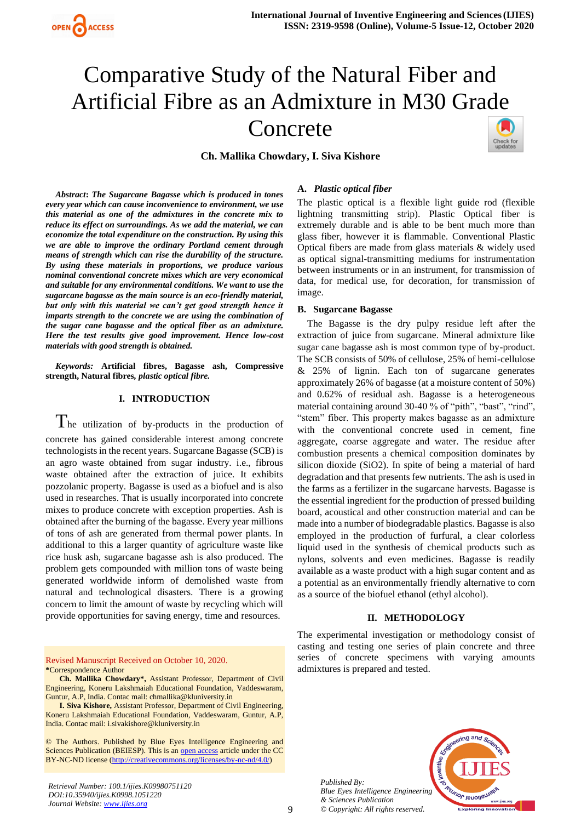# Comparative Study of the Natural Fiber and Artificial Fibre as an Admixture in M30 Grade Concrete



*Abstract***:** *The Sugarcane Bagasse which is produced in tones every year which can cause inconvenience to environment, we use this material as one of the admixtures in the concrete mix to reduce its effect on surroundings. As we add the material, we can economize the total expenditure on the construction. By using this we are able to improve the ordinary Portland cement through means of strength which can rise the durability of the structure. By using these materials in proportions, we produce various nominal conventional concrete mixes which are very economical and suitable for any environmental conditions. We want to use the sugarcane bagasse as the main source is an eco-friendly material, but only with this material we can't get good strength hence it imparts strength to the concrete we are using the combination of the sugar cane bagasse and the optical fiber as an admixture. Here the test results give good improvement. Hence low-cost materials with good strength is obtained.*

*Keywords:* **Artificial fibres, Bagasse ash, Compressive strength, Natural fibres***, plastic optical fibre.*

## **I. INTRODUCTION**

The utilization of by-products in the production of concrete has gained considerable interest among concrete technologists in the recent years. Sugarcane Bagasse (SCB) is an agro waste obtained from sugar industry. i.e., fibrous waste obtained after the extraction of juice. It exhibits pozzolanic property. Bagasse is used as a biofuel and is also used in researches. That is usually incorporated into concrete mixes to produce concrete with exception properties. Ash is obtained after the burning of the bagasse. Every year millions of tons of ash are generated from thermal power plants. In additional to this a larger quantity of agriculture waste like rice husk ash, sugarcane bagasse ash is also produced. The problem gets compounded with million tons of waste being generated worldwide inform of demolished waste from natural and technological disasters. There is a growing concern to limit the amount of waste by recycling which will provide opportunities for saving energy, time and resources.

Revised Manuscript Received on October 10, 2020. **\***Correspondence Author

**Ch. Mallika Chowdary\*,** Assistant Professor, Department of Civil Engineering, Koneru Lakshmaiah Educational Foundation, Vaddeswaram, Guntur, A.P, India. Contac mail: chmallika@kluniversity.in

**I. Siva Kishore,** Assistant Professor, Department of Civil Engineering, Koneru Lakshmaiah Educational Foundation, Vaddeswaram, Guntur, A.P, India. Contac mail: i.sivakishore@kluniversity.in

© The Authors. Published by Blue Eyes Intelligence Engineering and Sciences Publication (BEIESP). This is an [open access](https://www.openaccess.nl/en/open-publications) article under the CC BY-NC-ND license [\(http://creativecommons.org/licenses/by-nc-nd/4.0/\)](http://creativecommons.org/licenses/by-nc-nd/4.0/)

# **A.** *Plastic optical fiber*

The plastic optical is a flexible light guide rod (flexible lightning transmitting strip). Plastic Optical fiber is extremely durable and is able to be bent much more than glass fiber, however it is flammable. Conventional Plastic Optical fibers are made from glass materials & widely used as optical signal-transmitting mediums for instrumentation between instruments or in an instrument, for transmission of data, for medical use, for decoration, for transmission of image.

#### **B. Sugarcane Bagasse**

The Bagasse is the dry pulpy residue left after the extraction of juice from sugarcane. Mineral admixture like sugar cane bagasse ash is most common type of by-product. The SCB consists of 50% of cellulose, 25% of hemi-cellulose & 25% of lignin. Each ton of sugarcane generates approximately 26% of bagasse (at a moisture content of 50%) and 0.62% of residual ash. Bagasse is a heterogeneous material containing around 30-40 % of "pith", "bast", "rind", "stem" fiber. This property makes bagasse as an admixture with the conventional concrete used in cement, fine aggregate, coarse aggregate and water. The residue after combustion presents a chemical composition dominates by silicon dioxide (SiO2). In spite of being a material of hard degradation and that presents few nutrients. The ash is used in the farms as a fertilizer in the sugarcane harvests. Bagasse is the essential ingredient for the production of pressed building board, acoustical and other construction material and can be made into a number of biodegradable plastics. Bagasse is also employed in the production of furfural, a clear colorless liquid used in the synthesis of chemical products such as nylons, solvents and even medicines. Bagasse is readily available as a waste product with a high sugar content and as a potential as an environmentally friendly alternative to corn as a source of the biofuel ethanol (ethyl alcohol).

#### **II. METHODOLOGY**

The experimental investigation or methodology consist of casting and testing one series of plain concrete and three series of concrete specimens with varying amounts admixtures is prepared and tested.

*Published By: Blue Eyes Intelligence Engineering & Sciences Publication © Copyright: All rights reserved.*

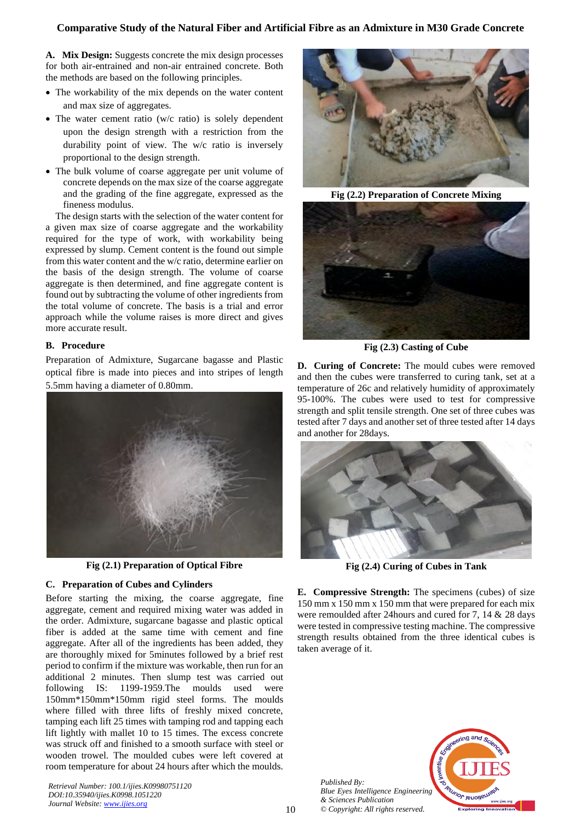# **Comparative Study of the Natural Fiber and Artificial Fibre as an Admixture in M30 Grade Concrete**

**A. Mix Design:** Suggests concrete the mix design processes for both air-entrained and non-air entrained concrete. Both the methods are based on the following principles.

- The workability of the mix depends on the water content and max size of aggregates.
- The water cement ratio (w/c ratio) is solely dependent upon the design strength with a restriction from the durability point of view. The w/c ratio is inversely proportional to the design strength.
- The bulk volume of coarse aggregate per unit volume of concrete depends on the max size of the coarse aggregate and the grading of the fine aggregate, expressed as the fineness modulus.

The design starts with the selection of the water content for a given max size of coarse aggregate and the workability required for the type of work, with workability being expressed by slump. Cement content is the found out simple from this water content and the w/c ratio, determine earlier on the basis of the design strength. The volume of coarse aggregate is then determined, and fine aggregate content is found out by subtracting the volume of other ingredients from the total volume of concrete. The basis is a trial and error approach while the volume raises is more direct and gives more accurate result.

## **B. Procedure**

Preparation of Admixture, Sugarcane bagasse and Plastic optical fibre is made into pieces and into stripes of length 5.5mm having a diameter of 0.80mm.



**Fig (2.1) Preparation of Optical Fibre**

## **C. Preparation of Cubes and Cylinders**

Before starting the mixing, the coarse aggregate, fine aggregate, cement and required mixing water was added in the order. Admixture, sugarcane bagasse and plastic optical fiber is added at the same time with cement and fine aggregate. After all of the ingredients has been added, they are thoroughly mixed for 5minutes followed by a brief rest period to confirm if the mixture was workable, then run for an additional 2 minutes. Then slump test was carried out following IS: 1199-1959.The moulds used were 150mm\*150mm\*150mm rigid steel forms. The moulds where filled with three lifts of freshly mixed concrete, tamping each lift 25 times with tamping rod and tapping each lift lightly with mallet 10 to 15 times. The excess concrete was struck off and finished to a smooth surface with steel or wooden trowel. The moulded cubes were left covered at room temperature for about 24 hours after which the moulds.



**Fig (2.3) Casting of Cube**

**Fig (2.2) Preparation of Concrete Mixing**

**D. Curing of Concrete:** The mould cubes were removed and then the cubes were transferred to curing tank, set at a temperature of 26c and relatively humidity of approximately 95-100%. The cubes were used to test for compressive strength and split tensile strength. One set of three cubes was tested after 7 days and another set of three tested after 14 days and another for 28days.



**Fig (2.4) Curing of Cubes in Tank**

**E. Compressive Strength:** The specimens (cubes) of size 150 mm x 150 mm x 150 mm that were prepared for each mix were remoulded after 24hours and cured for 7, 14 & 28 days were tested in compressive testing machine. The compressive strength results obtained from the three identical cubes is taken average of it.

*Published By: Blue Eyes Intelligence Engineering & Sciences Publication © Copyright: All rights reserved.*



*Retrieval Number: 100.1/ijies.K09980751120 DOI:10.35940/ijies.K0998.1051220 Journal Website[: www.ijies.org](http://www.ijies.org/)*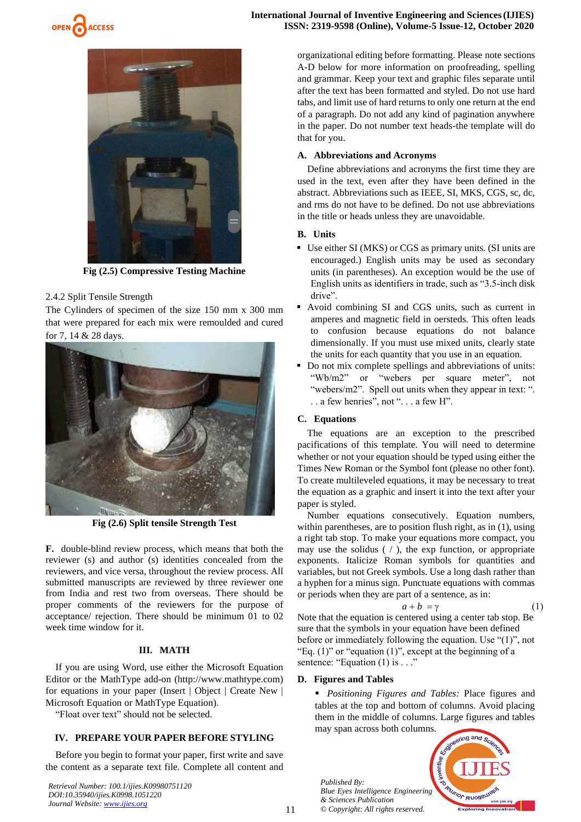



**Fig (2.5) Compressive Testing Machine**

## 2.4.2 Split Tensile Strength

The Cylinders of specimen of the size 150 mm x 300 mm that were prepared for each mix were remoulded and cured for 7, 14 & 28 days.



**Fig (2.6) Split tensile Strength Test**

**F.** double-blind review process, which means that both the reviewer (s) and author (s) identities concealed from the reviewers, and vice versa, throughout the review process. All submitted manuscripts are reviewed by three reviewer one from India and rest two from overseas. There should be proper comments of the reviewers for the purpose of acceptance/ rejection. There should be minimum 01 to 02 week time window for it.

# **III. MATH**

If you are using Word, use either the Microsoft Equation Editor or the MathType add-on (http://www.mathtype.com) for equations in your paper (Insert | Object | Create New | Microsoft Equation or MathType Equation).

"Float over text" should not be selected.

# **IV. PREPARE YOUR PAPER BEFORE STYLING**

Before you begin to format your paper, first write and save the content as a separate text file. Complete all content and

*Retrieval Number: 100.1/ijies.K09980751120 DOI:10.35940/ijies.K0998.1051220 Journal Website[: www.ijies.org](http://www.ijies.org/)*

organizational editing before formatting. Please note sections A-D below for more information on proofreading, spelling and grammar. Keep your text and graphic files separate until after the text has been formatted and styled. Do not use hard tabs, and limit use of hard returns to only one return at the end of a paragraph. Do not add any kind of pagination anywhere in the paper. Do not number text heads-the template will do that for you.

## **A. Abbreviations and Acronyms**

Define abbreviations and acronyms the first time they are used in the text, even after they have been defined in the abstract. Abbreviations such as IEEE, SI, MKS, CGS, sc, dc, and rms do not have to be defined. Do not use abbreviations in the title or heads unless they are unavoidable.

## **B. Units**

- Use either SI (MKS) or CGS as primary units. (SI units are encouraged.) English units may be used as secondary units (in parentheses). An exception would be the use of English units as identifiers in trade, such as "3.5-inch disk drive".
- Avoid combining SI and CGS units, such as current in amperes and magnetic field in oersteds. This often leads to confusion because equations do not balance dimensionally. If you must use mixed units, clearly state the units for each quantity that you use in an equation.
- Do not mix complete spellings and abbreviations of units: "Wb/m2" or "webers per square meter", not "webers/m2". Spell out units when they appear in text: ". . . a few henries", not ". . . a few H".

## **C. Equations**

The equations are an exception to the prescribed pacifications of this template. You will need to determine whether or not your equation should be typed using either the Times New Roman or the Symbol font (please no other font). To create multileveled equations, it may be necessary to treat the equation as a graphic and insert it into the text after your paper is styled.

Number equations consecutively. Equation numbers, within parentheses, are to position flush right, as in (1), using a right tab stop. To make your equations more compact, you may use the solidus  $( / )$ , the exp function, or appropriate exponents. Italicize Roman symbols for quantities and variables, but not Greek symbols. Use a long dash rather than a hyphen for a minus sign. Punctuate equations with commas or periods when they are part of a sentence, as in:

$$
a + b = \gamma \tag{1}
$$

Note that the equation is centered using a center tab stop. Be sure that the symbols in your equation have been defined before or immediately following the equation. Use "(1)", not "Eq.  $(1)$ " or "equation  $(1)$ ", except at the beginning of a sentence: "Equation (1) is . . ."

# **D. Figures and Tables**

▪ *Positioning Figures and Tables:* Place figures and tables at the top and bottom of columns. Avoid placing them in the middle of columns. Large figures and tables may span across both columns.

*Published By: Blue Eyes Intelligence Engineering & Sciences Publication © Copyright: All rights reserved.*

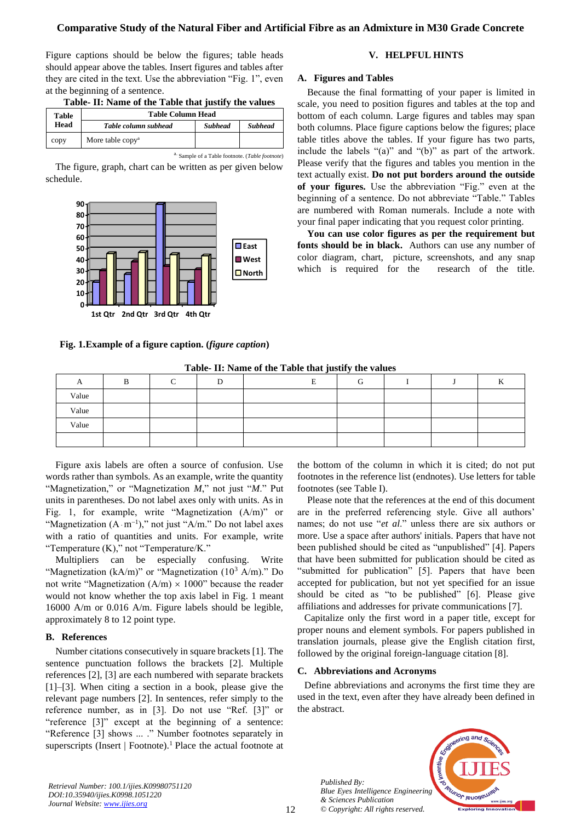# **Comparative Study of the Natural Fiber and Artificial Fibre as an Admixture in M30 Grade Concrete**

Figure captions should be below the figures; table heads should appear above the tables. Insert figures and tables after they are cited in the text. Use the abbreviation "Fig. 1", even at the beginning of a sentence.

| Table- II: Name of the Table that justify the values |  |  |  |  |
|------------------------------------------------------|--|--|--|--|
|------------------------------------------------------|--|--|--|--|

| Table<br>Head | <b>Table Column Head</b> |                |                |  |  |
|---------------|--------------------------|----------------|----------------|--|--|
|               | Table column subhead     | <b>Subhead</b> | <b>Subhead</b> |  |  |
| copy          | More table $copya$       |                |                |  |  |
|               |                          |                |                |  |  |

a. Sample of a Table footnote. (*Table footnote*)

The figure, graph, chart can be written as per given below schedule.



**Fig. 1.Example of a figure caption. (***figure caption***)**

## **V. HELPFUL HINTS**

## **A. Figures and Tables**

Because the final formatting of your paper is limited in scale, you need to position figures and tables at the top and bottom of each column. Large figures and tables may span both columns. Place figure captions below the figures; place table titles above the tables. If your figure has two parts, include the labels "(a)" and "(b)" as part of the artwork. Please verify that the figures and tables you mention in the text actually exist. **Do not put borders around the outside of your figures.** Use the abbreviation "Fig." even at the beginning of a sentence. Do not abbreviate "Table." Tables are numbered with Roman numerals. Include a note with your final paper indicating that you request color printing.

**You can use color figures as per the requirement but fonts should be in black.** Authors can use any number of color diagram, chart, picture, screenshots, and any snap which is required for the research of the title.

| Table- II: Name of the Table that justify the values |
|------------------------------------------------------|
|------------------------------------------------------|

|       |  | $\cdot$ | l v |  | $\mathbf{r}$ |
|-------|--|---------|-----|--|--------------|
| Value |  |         |     |  |              |
| Value |  |         |     |  |              |
| Value |  |         |     |  |              |
|       |  |         |     |  |              |

Figure axis labels are often a source of confusion. Use words rather than symbols. As an example, write the quantity "Magnetization," or "Magnetization *M*," not just "*M*." Put units in parentheses. Do not label axes only with units. As in Fig. 1, for example, write "Magnetization (A/m)" or "Magnetization  $(A \cdot m^{-1})$ ," not just "A/m." Do not label axes with a ratio of quantities and units. For example, write "Temperature (K)," not "Temperature/K."

Multipliers can be especially confusing. Write "Magnetization (kA/m)" or "Magnetization (10<sup>3</sup> A/m)." Do not write "Magnetization  $(A/m) \times 1000$ " because the reader would not know whether the top axis label in Fig. 1 meant 16000 A/m or 0.016 A/m. Figure labels should be legible, approximately 8 to 12 point type.

## **B. References**

Number citations consecutively in square brackets [1]. The sentence punctuation follows the brackets [2]. Multiple references [2], [3] are each numbered with separate brackets [1]–[3]. When citing a section in a book, please give the relevant page numbers [2]. In sentences, refer simply to the reference number, as in [3]. Do not use "Ref. [3]" or "reference [3]" except at the beginning of a sentence: "Reference [3] shows ... ." Number footnotes separately in superscripts (Insert | Footnote).<sup>1</sup> Place the actual footnote at

the bottom of the column in which it is cited; do not put footnotes in the reference list (endnotes). Use letters for table footnotes (see Table I).

Please note that the references at the end of this document are in the preferred referencing style. Give all authors' names; do not use "*et al*." unless there are six authors or more. Use a space after authors' initials. Papers that have not been published should be cited as "unpublished" [4]. Papers that have been submitted for publication should be cited as "submitted for publication" [5]. Papers that have been accepted for publication, but not yet specified for an issue should be cited as "to be published" [6]. Please give affiliations and addresses for private communications [7].

Capitalize only the first word in a paper title, except for proper nouns and element symbols. For papers published in translation journals, please give the English citation first, followed by the original foreign-language citation [8].

## **C. Abbreviations and Acronyms**

Define abbreviations and acronyms the first time they are used in the text, even after they have already been defined in the abstract.

*Published By: Blue Eyes Intelligence Engineering & Sciences Publication © Copyright: All rights reserved.*



12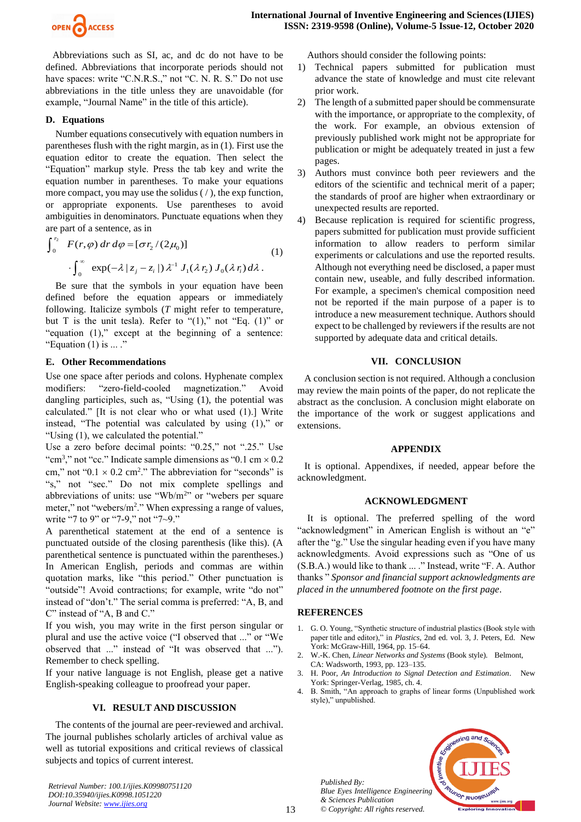

Abbreviations such as SI, ac, and dc do not have to be defined. Abbreviations that incorporate periods should not have spaces: write "C.N.R.S.," not "C. N. R. S." Do not use abbreviations in the title unless they are unavoidable (for example, "Journal Name" in the title of this article).

## **D. Equations**

Number equations consecutively with equation numbers in parentheses flush with the right margin, as in (1). First use the equation editor to create the equation. Then select the "Equation" markup style. Press the tab key and write the equation number in parentheses. To make your equations more compact, you may use the solidus ( / ), the exp function, or appropriate exponents. Use parentheses to avoid ambiguities in denominators. Punctuate equations when they are part of a sentence, as in

$$
\int_0^{r_2} F(r,\varphi) dr d\varphi = [\sigma r_2 / (2\mu_0)]
$$
  

$$
\int_0^{\infty} \exp(-\lambda |z_j - z_i|) \lambda^{-1} J_1(\lambda r_2) J_0(\lambda r_i) d\lambda.
$$
 (1)

Be sure that the symbols in your equation have been defined before the equation appears or immediately following. Italicize symbols (*T* might refer to temperature, but T is the unit tesla). Refer to " $(1)$ ," not "Eq.  $(1)$ " or "equation (1)," except at the beginning of a sentence: "Equation  $(1)$  is ... ."

## **E. Other Recommendations**

Use one space after periods and colons. Hyphenate complex modifiers: "zero-field-cooled magnetization." Avoid dangling participles, such as, "Using (1), the potential was calculated." [It is not clear who or what used (1).] Write instead, "The potential was calculated by using (1)," or "Using (1), we calculated the potential."

Use a zero before decimal points: "0.25," not ".25." Use "cm<sup>3</sup>," not "cc." Indicate sample dimensions as "0.1 cm  $\times$  0.2 cm," not " $0.1 \times 0.2$  cm<sup>2</sup>." The abbreviation for "seconds" is "s," not "sec." Do not mix complete spellings and abbreviations of units: use "Wb/ $m<sup>2</sup>$ " or "webers per square meter," not "webers/m<sup>2</sup>." When expressing a range of values, write "7 to 9" or "7-9," not "7~9."

A parenthetical statement at the end of a sentence is punctuated outside of the closing parenthesis (like this). (A parenthetical sentence is punctuated within the parentheses.) In American English, periods and commas are within quotation marks, like "this period." Other punctuation is "outside"! Avoid contractions; for example, write "do not" instead of "don't." The serial comma is preferred: "A, B, and C" instead of "A, B and C."

If you wish, you may write in the first person singular or plural and use the active voice ("I observed that ..." or "We observed that ..." instead of "It was observed that ..."). Remember to check spelling.

If your native language is not English, please get a native English-speaking colleague to proofread your paper.

## **VI. RESULT AND DISCUSSION**

The contents of the journal are peer-reviewed and archival. The journal publishes scholarly articles of archival value as well as tutorial expositions and critical reviews of classical subjects and topics of current interest.

*Retrieval Number: 100.1/ijies.K09980751120 DOI:10.35940/ijies.K0998.1051220 Journal Website[: www.ijies.org](http://www.ijies.org/)*

Authors should consider the following points:

- 1) Technical papers submitted for publication must advance the state of knowledge and must cite relevant prior work.
- 2) The length of a submitted paper should be commensurate with the importance, or appropriate to the complexity, of the work. For example, an obvious extension of previously published work might not be appropriate for publication or might be adequately treated in just a few pages.
- 3) Authors must convince both peer reviewers and the editors of the scientific and technical merit of a paper; the standards of proof are higher when extraordinary or unexpected results are reported.
- 4) Because replication is required for scientific progress, papers submitted for publication must provide sufficient information to allow readers to perform similar experiments or calculations and use the reported results. Although not everything need be disclosed, a paper must contain new, useable, and fully described information. For example, a specimen's chemical composition need not be reported if the main purpose of a paper is to introduce a new measurement technique. Authors should expect to be challenged by reviewers if the results are not supported by adequate data and critical details.

## **VII. CONCLUSION**

A conclusion section is not required. Although a conclusion may review the main points of the paper, do not replicate the abstract as the conclusion. A conclusion might elaborate on the importance of the work or suggest applications and extensions.

## **APPENDIX**

It is optional. Appendixes, if needed, appear before the acknowledgment.

## **ACKNOWLEDGMENT**

It is optional. The preferred spelling of the word "acknowledgment" in American English is without an "e" after the "g." Use the singular heading even if you have many acknowledgments. Avoid expressions such as "One of us (S.B.A.) would like to thank ... ." Instead, write "F. A. Author thanks " *Sponsor and financial support acknowledgments are placed in the unnumbered footnote on the first page.*

## **REFERENCES**

- 1. G. O. Young, "Synthetic structure of industrial plastics (Book style with paper title and editor)," in *Plastics*, 2nd ed. vol. 3, J. Peters, Ed. New York: McGraw-Hill, 1964, pp. 15–64.
- 2. W.-K. Chen, *Linear Networks and Systems* (Book style)*.* Belmont, CA: Wadsworth, 1993, pp. 123–135.
- 3. H. Poor, *An Introduction to Signal Detection and Estimation*. New York: Springer-Verlag, 1985, ch. 4.
- 4. B. Smith, "An approach to graphs of linear forms (Unpublished work style)," unpublished.

*Published By: Blue Eyes Intelligence Engineering & Sciences Publication © Copyright: All rights reserved.*